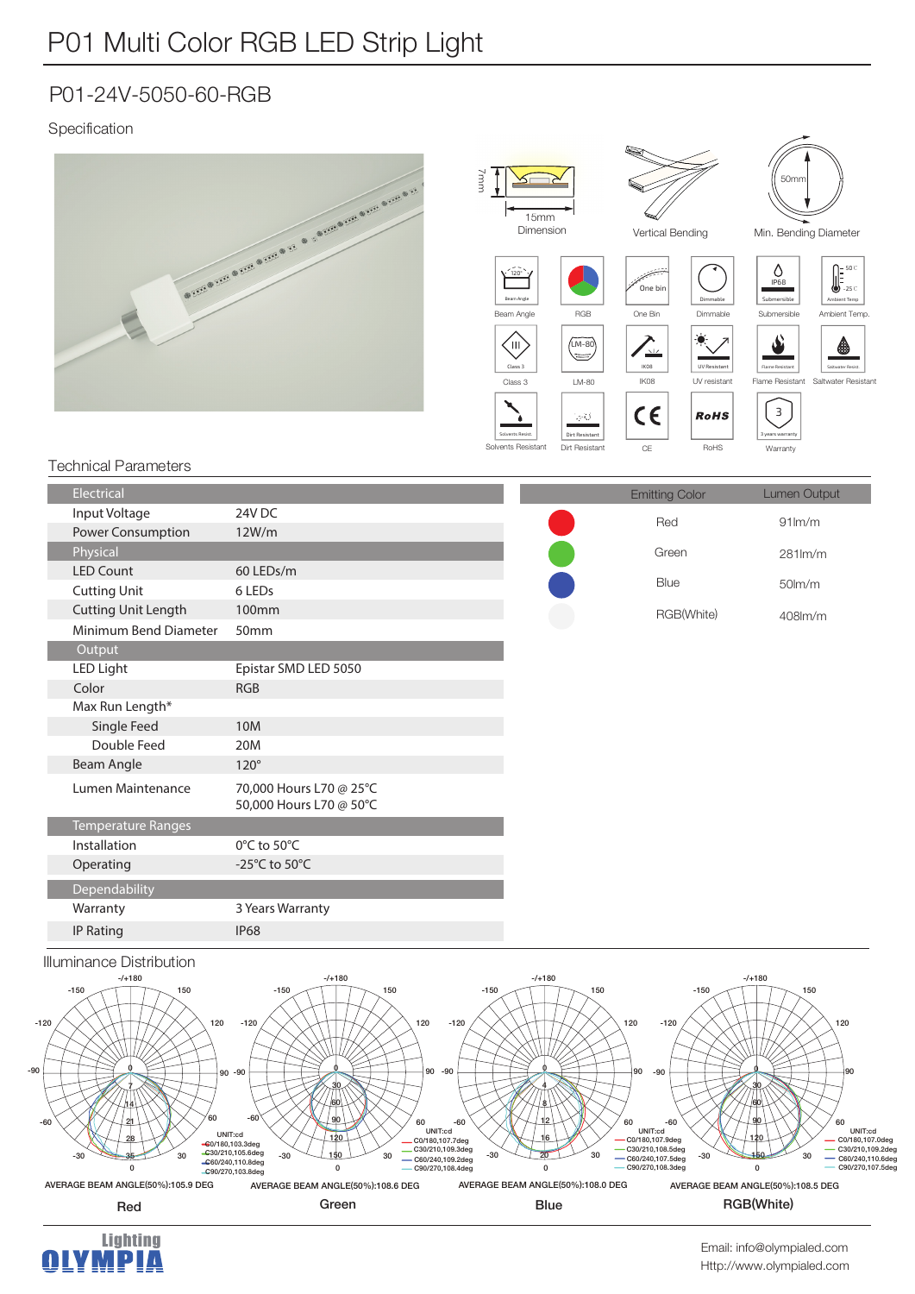## P01 Multi Color RGB LED Strip Light

### P01-24V-5050-60-RGB

### Specification



| mput voltaye               | 240 DC                                             | Red        |
|----------------------------|----------------------------------------------------|------------|
| Power Consumption          | 12W/m                                              |            |
| Physical                   |                                                    | Green      |
| <b>LED Count</b>           | 60 LEDs/m                                          |            |
| <b>Cutting Unit</b>        | 6 LEDs                                             | Blue       |
| <b>Cutting Unit Length</b> | 100mm                                              | RGB(White) |
| Minimum Bend Diameter      | 50mm                                               |            |
| Output                     |                                                    |            |
| LED Light                  | Epistar SMD LED 5050                               |            |
| Color                      | <b>RGB</b>                                         |            |
| Max Run Length*            |                                                    |            |
| Single Feed                | 10M                                                |            |
| Double Feed                | 20M                                                |            |
| <b>Beam Angle</b>          | $120^\circ$                                        |            |
| Lumen Maintenance          | 70,000 Hours L70 @ 25°C<br>50,000 Hours L70 @ 50°C |            |
| <b>Temperature Ranges</b>  |                                                    |            |
| Installation               | 0°C to 50°C                                        |            |
| Operating                  | -25 $^{\circ}$ C to 50 $^{\circ}$ C                |            |
| Dependability              |                                                    |            |
| Warranty                   | 3 Years Warranty                                   |            |
| IP Rating                  | <b>IP68</b>                                        |            |
|                            |                                                    |            |